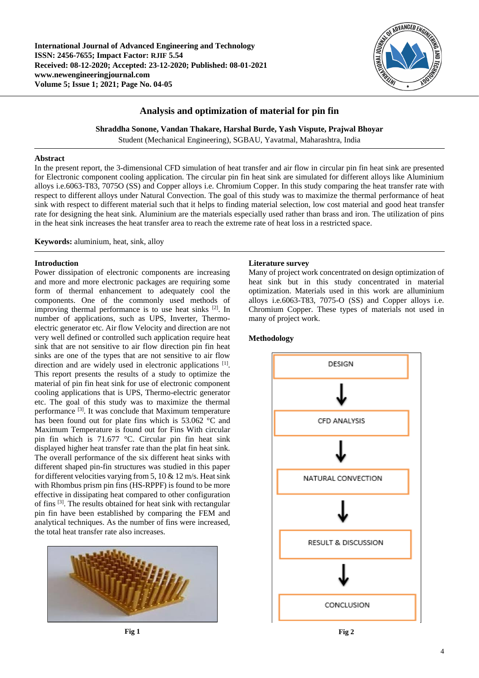**International Journal of Advanced Engineering and Technology ISSN: 2456-7655; Impact Factor: RJIF 5.54 Received: 08-12-2020; Accepted: 23-12-2020; Published: 08-01-2021 www.newengineeringjournal.com Volume 5; Issue 1; 2021; Page No. 04-05**



## **Analysis and optimization of material for pin fin**

**Shraddha Sonone, Vandan Thakare, Harshal Burde, Yash Vispute, Prajwal Bhoyar**

Student (Mechanical Engineering), SGBAU, Yavatmal, Maharashtra, India

### **Abstract**

In the present report, the 3-dimensional CFD simulation of heat transfer and air flow in circular pin fin heat sink are presented for Electronic component cooling application. The circular pin fin heat sink are simulated for different alloys like Aluminium alloys i.e.6063-T83, 7075O (SS) and Copper alloys i.e. Chromium Copper. In this study comparing the heat transfer rate with respect to different alloys under Natural Convection. The goal of this study was to maximize the thermal performance of heat sink with respect to different material such that it helps to finding material selection, low cost material and good heat transfer rate for designing the heat sink. Aluminium are the materials especially used rather than brass and iron. The utilization of pins in the heat sink increases the heat transfer area to reach the extreme rate of heat loss in a restricted space.

**Keywords:** aluminium, heat, sink, alloy

### **Introduction**

Power dissipation of electronic components are increasing and more and more electronic packages are requiring some form of thermal enhancement to adequately cool the components. One of the commonly used methods of improving thermal performance is to use heat sinks [2]. In number of applications, such as UPS, Inverter, Thermoelectric generator etc. Air flow Velocity and direction are not very well defined or controlled such application require heat sink that are not sensitive to air flow direction pin fin heat sinks are one of the types that are not sensitive to air flow direction and are widely used in electronic applications [1]. This report presents the results of a study to optimize the material of pin fin heat sink for use of electronic component cooling applications that is UPS, Thermo-electric generator etc. The goal of this study was to maximize the thermal performance <sup>[3]</sup>. It was conclude that Maximum temperature has been found out for plate fins which is 53.062 °C and Maximum Temperature is found out for Fins With circular pin fin which is 71.677 °C. Circular pin fin heat sink displayed higher heat transfer rate than the plat fin heat sink. The overall performance of the six different heat sinks with different shaped pin-fin structures was studied in this paper for different velocities varying from 5, 10  $\&$  12 m/s. Heat sink with Rhombus prism pin fins (HS-RPPF) is found to be more effective in dissipating heat compared to other configuration of fins [3]. The results obtained for heat sink with rectangular pin fin have been established by comparing the FEM and analytical techniques. As the number of fins were increased, the total heat transfer rate also increases.



#### **Literature survey**

Many of project work concentrated on design optimization of heat sink but in this study concentrated in material optimization. Materials used in this work are alluminium alloys i.e.6063-T83, 7075-O (SS) and Copper alloys i.e. Chromium Copper. These types of materials not used in many of project work.

# **Methodology**